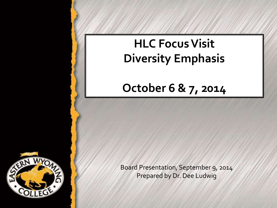# **HLC Focus Visit Diversity Emphasis**

## **October 6 & 7, 2014**



Board Presentation, September 9, 2014 Prepared by Dr. Dee Ludwig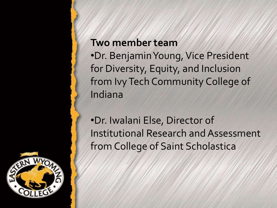#### **Two member team**

•Dr. Benjamin Young, Vice President for Diversity, Equity, and Inclusion from Ivy Tech Community College of Indiana

•Dr. Iwalani Else, Director of Institutional Research and Assessment from College of Saint Scholastica

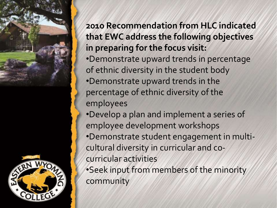

#### **2010 Recommendation from HLC indicated that EWC address the following objectives in preparing for the focus visit:**

- •Demonstrate upward trends in percentage of ethnic diversity in the student body
- •Demonstrate upward trends in the percentage of ethnic diversity of the employees
- •Develop a plan and implement a series of employee development workshops
- •Demonstrate student engagement in multicultural diversity in curricular and cocurricular activities

•Seek input from members of the minority community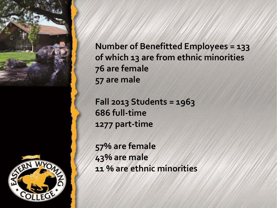

**Number of Benefitted Employees = 133 of which 13 are from ethnic minorities 76 are female 57 are male**

**Fall 2013 Students = 1963 686 full-time 1277 part-time**

**57% are female 43% are male 11 % are ethnic minorities**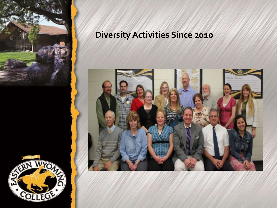

## **Diversity Activities Since 2010**

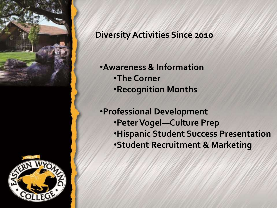

#### **Diversity Activities Since 2010**

- •**Awareness & Information** •**The Corner** •**Recognition Months**
- •**Professional Development** •**Peter Vogel—Culture Prep** •**Hispanic Student Success Presentation** •**Student Recruitment & Marketing**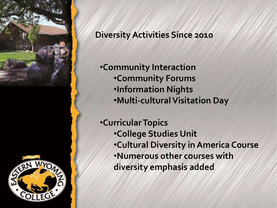

#### **Diversity Activities Since 2010**

•**Community Interaction** •**Community Forums** •**Information Nights** •**Multi-cultural Visitation Day**

•**Curricular Topics** •**College Studies Unit** •**Cultural Diversity in America Course** •**Numerous other courses with diversity emphasis added**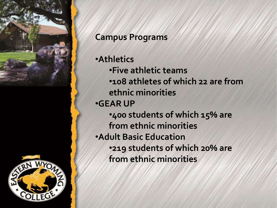

#### **Campus Programs**

•**Athletics** •**Five athletic teams** •**108 athletes of which 22 are from ethnic minorities** •**GEAR UP** •**400 students of which 15% are from ethnic minorities** •**Adult Basic Education** •**219 students of which 20% are from ethnic minorities**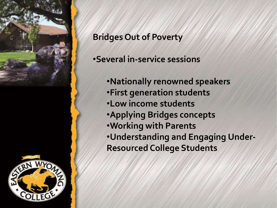

### **Bridges Out of Poverty**

#### •**Several in-service sessions**

•**Nationally renowned speakers** •**First generation students** •**Low income students** •**Applying Bridges concepts** •**Working with Parents** •**Understanding and Engaging Under-Resourced College Students**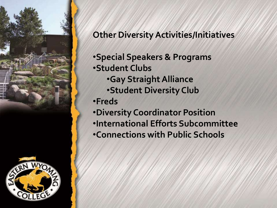

#### **Other Diversity Activities/Initiatives**

•**Special Speakers & Programs** •**Student Clubs** •**Gay Straight Alliance** •**Student Diversity Club** •**Freds** •**Diversity Coordinator Position** •**International Efforts Subcommittee** •**Connections with Public Schools**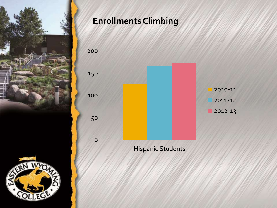

## **Enrollments Climbing**

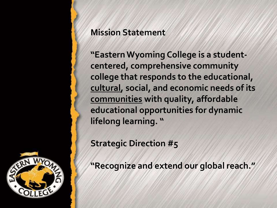#### **Mission Statement**

**"Eastern Wyoming College is a studentcentered, comprehensive community college that responds to the educational, cultural, social, and economic needs of its communities with quality, affordable educational opportunities for dynamic lifelong learning. "**

**Strategic Direction #5**

**"Recognize and extend our global reach."**